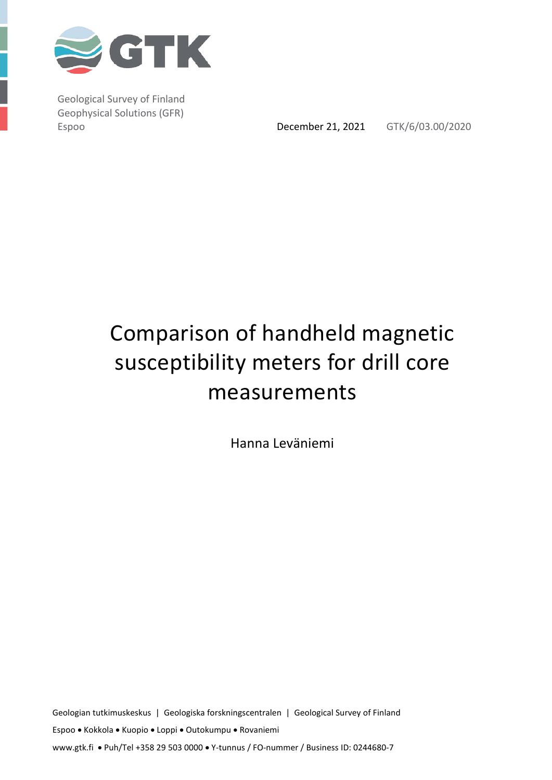

Geological Survey of Finland Geophysical Solutions (GFR)

Espoo **December 21, 2021** GTK/6/03.00/2020

# Comparison of handheld magnetic susceptibility meters for drill core measurements

Hanna Leväniemi

Geologian tutkimuskeskus | Geologiska forskningscentralen | Geological Survey of Finland Espoo • Kokkola • Kuopio • Loppi • Outokumpu • Rovaniemi www.gtk.fi • Puh/Tel +358 29 503 0000 • Y-tunnus / FO-nummer / Business ID: 0244680-7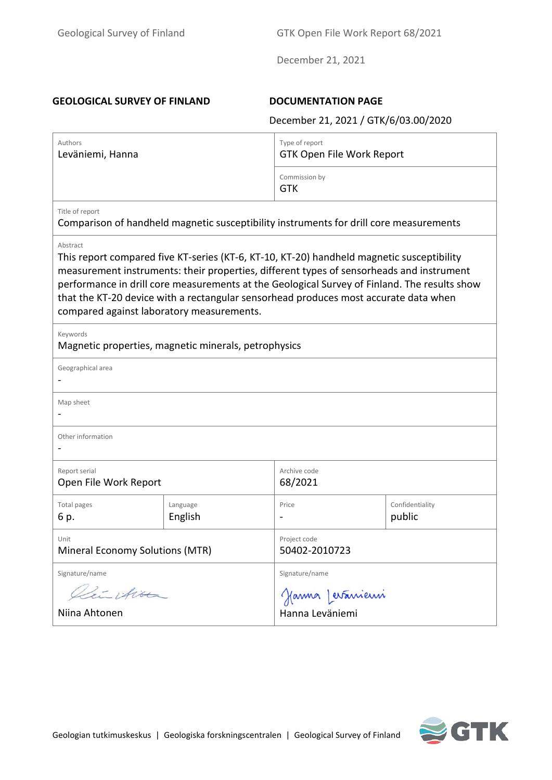#### **GEOLOGICAL SURVEY OF FINLAND DOCUMENTATION PAGE**

December 21, 2021 / GTK/6/03.00/2020

| Authors<br>Leväniemi, Hanna                                                                                                                                                                                                                                                                                                                                                                                                            |                     | Type of report<br><b>GTK Open File Work Report</b> |                           |  |  |  |  |
|----------------------------------------------------------------------------------------------------------------------------------------------------------------------------------------------------------------------------------------------------------------------------------------------------------------------------------------------------------------------------------------------------------------------------------------|---------------------|----------------------------------------------------|---------------------------|--|--|--|--|
|                                                                                                                                                                                                                                                                                                                                                                                                                                        |                     | Commission by<br><b>GTK</b>                        |                           |  |  |  |  |
| Title of report<br>Comparison of handheld magnetic susceptibility instruments for drill core measurements                                                                                                                                                                                                                                                                                                                              |                     |                                                    |                           |  |  |  |  |
| Abstract<br>This report compared five KT-series (KT-6, KT-10, KT-20) handheld magnetic susceptibility<br>measurement instruments: their properties, different types of sensorheads and instrument<br>performance in drill core measurements at the Geological Survey of Finland. The results show<br>that the KT-20 device with a rectangular sensorhead produces most accurate data when<br>compared against laboratory measurements. |                     |                                                    |                           |  |  |  |  |
| Keywords<br>Magnetic properties, magnetic minerals, petrophysics                                                                                                                                                                                                                                                                                                                                                                       |                     |                                                    |                           |  |  |  |  |
| Geographical area                                                                                                                                                                                                                                                                                                                                                                                                                      |                     |                                                    |                           |  |  |  |  |
| Map sheet                                                                                                                                                                                                                                                                                                                                                                                                                              |                     |                                                    |                           |  |  |  |  |
| Other information                                                                                                                                                                                                                                                                                                                                                                                                                      |                     |                                                    |                           |  |  |  |  |
| Report serial<br>Open File Work Report                                                                                                                                                                                                                                                                                                                                                                                                 |                     | Archive code<br>68/2021                            |                           |  |  |  |  |
| <b>Total pages</b><br>6 p.                                                                                                                                                                                                                                                                                                                                                                                                             | Language<br>English | Price                                              | Confidentiality<br>public |  |  |  |  |
| Unit<br>Mineral Economy Solutions (MTR)                                                                                                                                                                                                                                                                                                                                                                                                |                     | Project code<br>50402-2010723                      |                           |  |  |  |  |
| Signature/name<br>Lieu ition<br>Niina Ahtonen                                                                                                                                                                                                                                                                                                                                                                                          |                     | Signature/name<br>Janna Levánieni                  |                           |  |  |  |  |

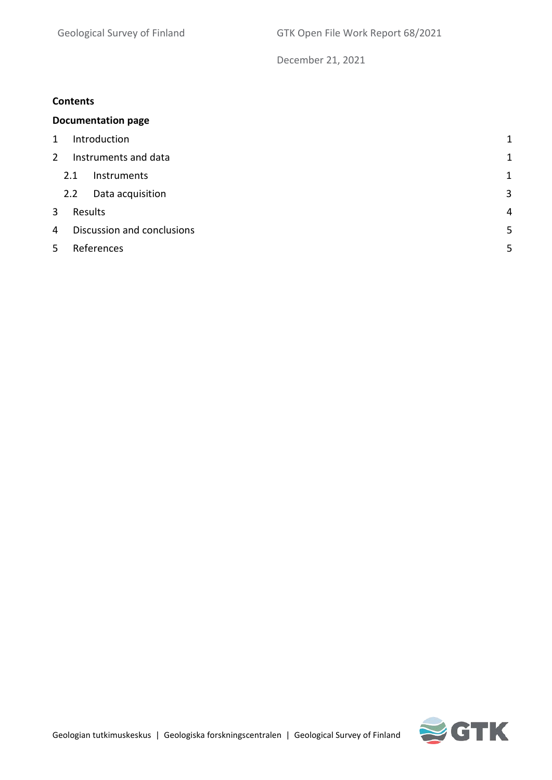#### **Contents**

|                 | <b>Documentation page</b>       |                  |              |  |  |  |
|-----------------|---------------------------------|------------------|--------------|--|--|--|
| 1               | Introduction                    |                  |              |  |  |  |
| 2               | Instruments and data            |                  |              |  |  |  |
|                 | 2.1                             | Instruments      | $\mathbf{1}$ |  |  |  |
|                 | 2.2                             | Data acquisition | 3            |  |  |  |
| 3               | Results<br>4                    |                  |              |  |  |  |
| 4               | 5<br>Discussion and conclusions |                  |              |  |  |  |
| References<br>5 |                                 |                  | 5            |  |  |  |
|                 |                                 |                  |              |  |  |  |

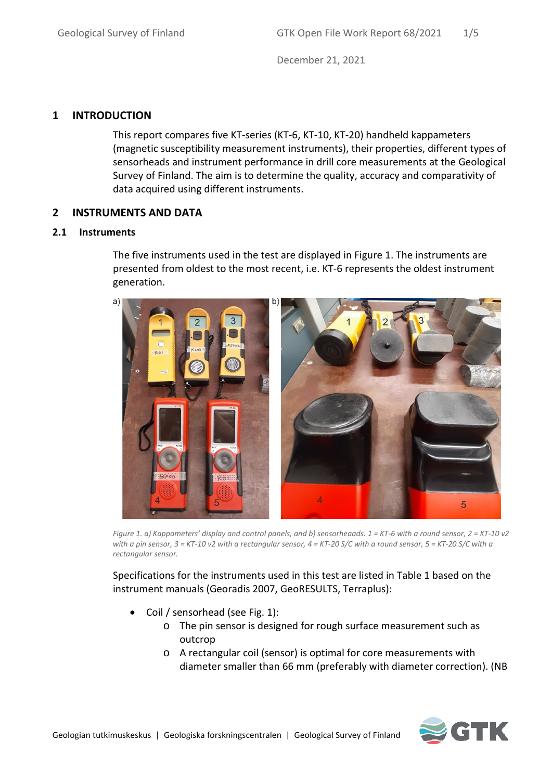# <span id="page-3-0"></span>**1 INTRODUCTION**

This report compares five KT-series (KT-6, KT-10, KT-20) handheld kappameters (magnetic susceptibility measurement instruments), their properties, different types of sensorheads and instrument performance in drill core measurements at the Geological Survey of Finland. The aim is to determine the quality, accuracy and comparativity of data acquired using different instruments.

### <span id="page-3-1"></span>**2 INSTRUMENTS AND DATA**

#### <span id="page-3-2"></span>**2.1 Instruments**

The five instruments used in the test are displayed in Figure 1. The instruments are presented from oldest to the most recent, i.e. KT-6 represents the oldest instrument generation.



*Figure 1. a) Kappameters' display and control panels, and b) sensorheaads. 1 = KT-6 with a round sensor, 2 = KT-10 v2 with a pin sensor, 3 = KT-10 v2 with a rectangular sensor, 4 = KT-20 S/C with a round sensor, 5 = KT-20 S/C with a rectangular sensor.*

Specifications for the instruments used in this test are listed in Table 1 based on the instrument manuals (Georadis 2007, GeoRESULTS, Terraplus):

- Coil / sensorhead (see Fig. 1):
	- o The pin sensor is designed for rough surface measurement such as outcrop
	- o A rectangular coil (sensor) is optimal for core measurements with diameter smaller than 66 mm (preferably with diameter correction). (NB

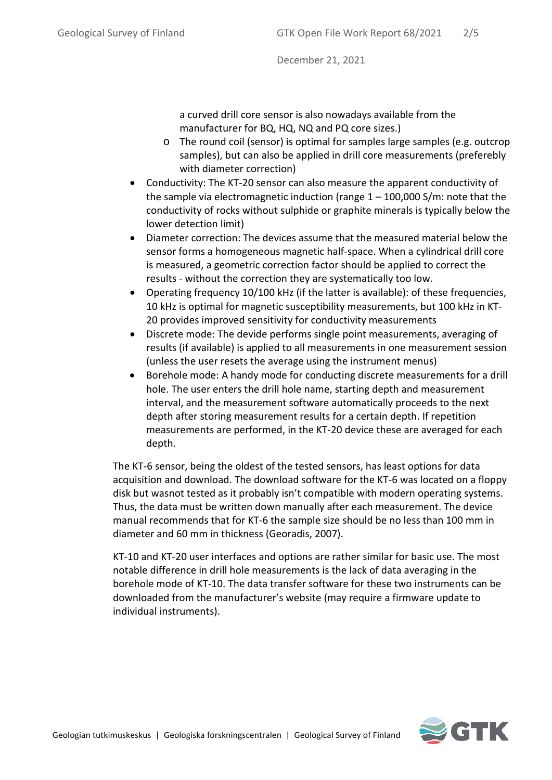a curved drill core sensor is also nowadays available from the manufacturer for BQ, HQ, NQ and PQ core sizes.)

- o The round coil (sensor) is optimal for samples large samples (e.g. outcrop samples), but can also be applied in drill core measurements (preferebly with diameter correction)
- Conductivity: The KT-20 sensor can also measure the apparent conductivity of the sample via electromagnetic induction (range  $1 - 100,000$  S/m: note that the conductivity of rocks without sulphide or graphite minerals is typically below the lower detection limit)
- Diameter correction: The devices assume that the measured material below the sensor forms a homogeneous magnetic half-space. When a cylindrical drill core is measured, a geometric correction factor should be applied to correct the results - without the correction they are systematically too low.
- Operating frequency 10/100 kHz (if the latter is available): of these frequencies, 10 kHz is optimal for magnetic susceptibility measurements, but 100 kHz in KT-20 provides improved sensitivity for conductivity measurements
- Discrete mode: The devide performs single point measurements, averaging of results (if available) is applied to all measurements in one measurement session (unless the user resets the average using the instrument menus)
- Borehole mode: A handy mode for conducting discrete measurements for a drill hole. The user enters the drill hole name, starting depth and measurement interval, and the measurement software automatically proceeds to the next depth after storing measurement results for a certain depth. If repetition measurements are performed, in the KT-20 device these are averaged for each depth.

The KT-6 sensor, being the oldest of the tested sensors, has least options for data acquisition and download. The download software for the KT-6 was located on a floppy disk but wasnot tested as it probably isn't compatible with modern operating systems. Thus, the data must be written down manually after each measurement. The device manual recommends that for KT-6 the sample size should be no less than 100 mm in diameter and 60 mm in thickness (Georadis, 2007).

KT-10 and KT-20 user interfaces and options are rather similar for basic use. The most notable difference in drill hole measurements is the lack of data averaging in the borehole mode of KT-10. The data transfer software for these two instruments can be downloaded from the manufacturer's website (may require a firmware update to individual instruments).

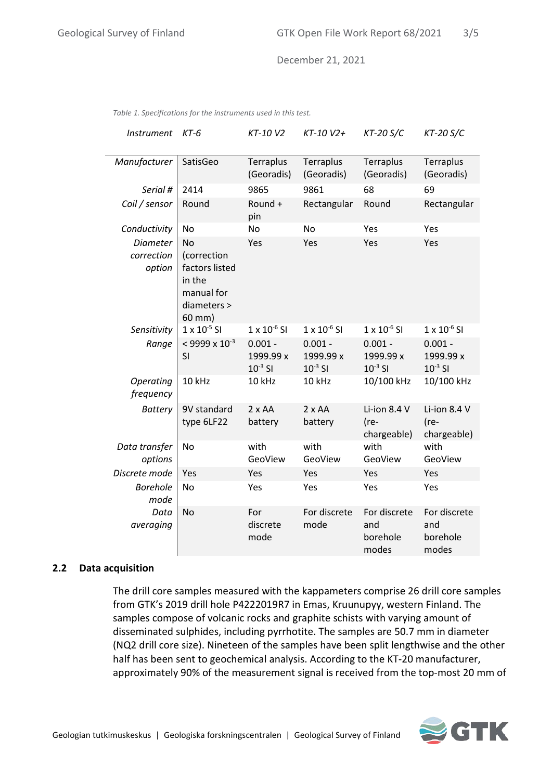| <b>Instrument</b>                       | KT-6                                                                                        | KT-10 V2                               | KT-10 V2+                              | $KT-20 S/C$                              | $KT-20 S/C$                              |
|-----------------------------------------|---------------------------------------------------------------------------------------------|----------------------------------------|----------------------------------------|------------------------------------------|------------------------------------------|
| Manufacturer                            | SatisGeo                                                                                    | Terraplus<br>(Georadis)                | Terraplus<br>(Georadis)                | Terraplus<br>(Georadis)                  | Terraplus<br>(Georadis)                  |
| Serial #                                | 2414                                                                                        | 9865                                   | 9861                                   | 68                                       | 69                                       |
| Coil / sensor                           | Round                                                                                       | Round +<br>pin                         | Rectangular                            | Round                                    | Rectangular                              |
| Conductivity                            | No                                                                                          | No                                     | No                                     | Yes                                      | Yes                                      |
| <b>Diameter</b><br>correction<br>option | <b>No</b><br>(correction<br>factors listed<br>in the<br>manual for<br>diameters ><br>60 mm) | Yes                                    | Yes                                    | Yes                                      | Yes                                      |
| Sensitivity                             | $1 \times 10^{-5}$ SI                                                                       | $1 \times 10^{-6}$ SI                  | $1 \times 10^{-6}$ SI                  | $1 \times 10^{-6}$ SI                    | $1 \times 10^{-6}$ SI                    |
| Range                                   | $<$ 9999 x 10 <sup>-3</sup><br>SI                                                           | $0.001 -$<br>1999.99 x<br>$10^{-3}$ SI | $0.001 -$<br>1999.99 x<br>$10^{-3}$ SI | $0.001 -$<br>1999.99 x<br>$10^{-3}$ SI   | $0.001 -$<br>1999.99 x<br>$10^{-3}$ SI   |
| Operating<br>frequency                  | 10 kHz                                                                                      | 10 kHz                                 | 10 kHz                                 | 10/100 kHz                               | 10/100 kHz                               |
| <b>Battery</b>                          | 9V standard<br>type 6LF22                                                                   | $2 \times AA$<br>battery               | $2 \times AA$<br>battery               | Li-ion 8.4 V<br>(re-<br>chargeable)      | Li-ion 8.4 V<br>(re-<br>chargeable)      |
| Data transfer<br>options                | No                                                                                          | with<br>GeoView                        | with<br>GeoView                        | with<br>GeoView                          | with<br>GeoView                          |
| Discrete mode                           | Yes                                                                                         | Yes                                    | Yes                                    | Yes                                      | Yes                                      |
| <b>Borehole</b><br>mode                 | No                                                                                          | Yes                                    | Yes                                    | Yes                                      | Yes                                      |
| Data<br>averaging                       | <b>No</b>                                                                                   | For<br>discrete<br>mode                | For discrete<br>mode                   | For discrete<br>and<br>borehole<br>modes | For discrete<br>and<br>borehole<br>modes |

*Table 1. Specifications for the instruments used in this test.*

#### <span id="page-5-0"></span>**2.2 Data acquisition**

The drill core samples measured with the kappameters comprise 26 drill core samples from GTK's 2019 drill hole P4222019R7 in Emas, Kruunupyy, western Finland. The samples compose of volcanic rocks and graphite schists with varying amount of disseminated sulphides, including pyrrhotite. The samples are 50.7 mm in diameter (NQ2 drill core size). Nineteen of the samples have been split lengthwise and the other half has been sent to geochemical analysis. According to the KT-20 manufacturer, approximately 90% of the measurement signal is received from the top-most 20 mm of

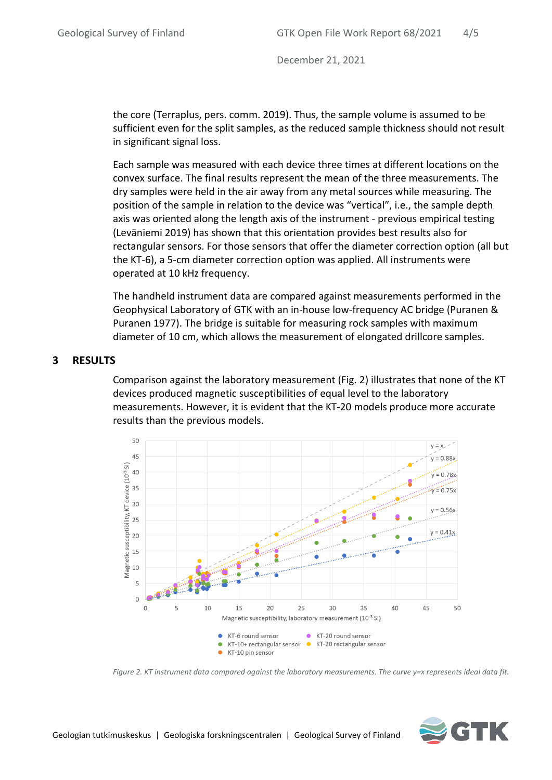the core (Terraplus, pers. comm. 2019). Thus, the sample volume is assumed to be sufficient even for the split samples, as the reduced sample thickness should not result in significant signal loss.

Each sample was measured with each device three times at different locations on the convex surface. The final results represent the mean of the three measurements. The dry samples were held in the air away from any metal sources while measuring. The position of the sample in relation to the device was "vertical", i.e., the sample depth axis was oriented along the length axis of the instrument - previous empirical testing (Leväniemi 2019) has shown that this orientation provides best results also for rectangular sensors. For those sensors that offer the diameter correction option (all but the KT-6), a 5-cm diameter correction option was applied. All instruments were operated at 10 kHz frequency.

The handheld instrument data are compared against measurements performed in the Geophysical Laboratory of GTK with an in-house low-frequency AC bridge (Puranen & Puranen 1977). The bridge is suitable for measuring rock samples with maximum diameter of 10 cm, which allows the measurement of elongated drillcore samples.

#### <span id="page-6-0"></span>**3 RESULTS**

Comparison against the laboratory measurement (Fig. 2) illustrates that none of the KT devices produced magnetic susceptibilities of equal level to the laboratory measurements. However, it is evident that the KT-20 models produce more accurate results than the previous models.



*Figure 2. KT instrument data compared against the laboratory measurements. The curve y=x represents ideal data fit.*